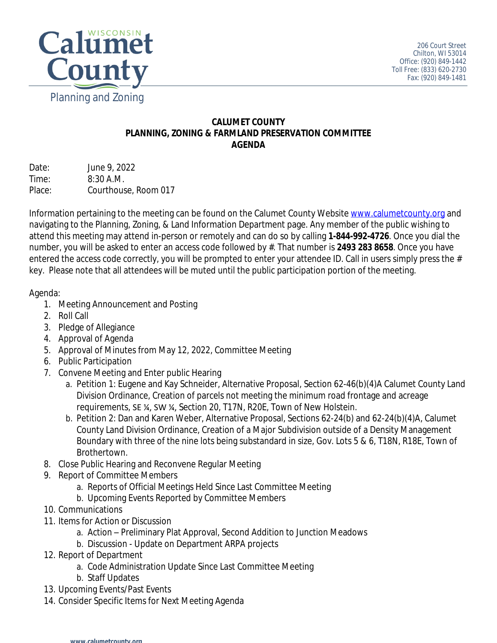

## **CALUMET COUNTY PLANNING, ZONING & FARMLAND PRESERVATION COMMITTEE AGENDA**

| Date:  | June 9, 2022         |
|--------|----------------------|
| Time:  | $8:30$ A.M.          |
| Place: | Courthouse, Room 017 |

Information pertaining to the meeting can be found on the Calumet County Website [www.calumetcounty.org](http://www.calumetcounty.org) and navigating to the Planning, Zoning, & Land Information Department page. Any member of the public wishing to attend this meeting may attend in-person or remotely and can do so by calling **1-844-992-4726**. Once you dial the number, you will be asked to enter an access code followed by #. That number is **2493 283 8658**. Once you have entered the access code correctly, you will be prompted to enter your attendee ID. Call in users simply press the # key. Please note that all attendees will be muted until the public participation portion of the meeting.

## Agenda:

- 1. Meeting Announcement and Posting
- 2. Roll Call
- 3. Pledge of Allegiance
- 4. Approval of Agenda
- 5. Approval of Minutes from May 12, 2022, Committee Meeting
- 6. Public Participation
- 7. Convene Meeting and Enter public Hearing
	- a. Petition 1: Eugene and Kay Schneider, Alternative Proposal, Section 62-46(b)(4)A Calumet County Land Division Ordinance, Creation of parcels not meeting the minimum road frontage and acreage requirements, SE ¼, SW ¼, Section 20, T17N, R20E, Town of New Holstein.
	- b. Petition 2: Dan and Karen Weber, Alternative Proposal, Sections 62-24(b) and 62-24(b)(4)A, Calumet County Land Division Ordinance, Creation of a Major Subdivision outside of a Density Management Boundary with three of the nine lots being substandard in size, Gov. Lots 5 & 6, T18N, R18E, Town of Brothertown.
- 8. Close Public Hearing and Reconvene Regular Meeting
- 9. Report of Committee Members
	- a. Reports of Official Meetings Held Since Last Committee Meeting
	- b. Upcoming Events Reported by Committee Members
- 10. Communications
- 11. Items for Action or Discussion
	- a. Action Preliminary Plat Approval, Second Addition to Junction Meadows
	- b. Discussion Update on Department ARPA projects
- 12. Report of Department
	- a. Code Administration Update Since Last Committee Meeting
	- b. Staff Updates
- 13. Upcoming Events/Past Events
- 14. Consider Specific Items for Next Meeting Agenda